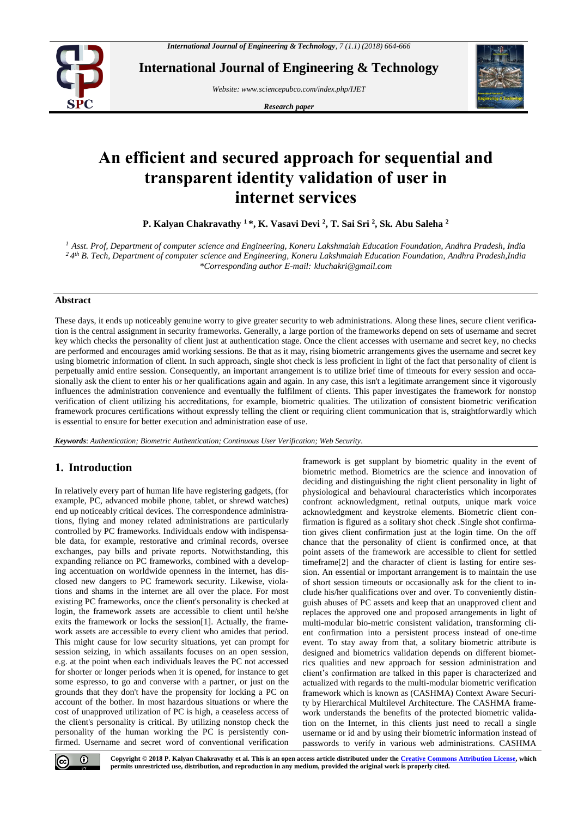

**International Journal of Engineering & Technology**

*Website: www.sciencepubco.com/index.php/IJET*

*Research paper*



# **An efficient and secured approach for sequential and transparent identity validation of user in internet services**

**P. Kalyan Chakravathy <sup>1</sup> \*, K. Vasavi Devi <sup>2</sup> , T. Sai Sri <sup>2</sup> , Sk. Abu Saleha <sup>2</sup>**

*<sup>1</sup> Asst. Prof, Department of computer science and Engineering, Koneru Lakshmaiah Education Foundation, Andhra Pradesh, India 2 4 th B. Tech, Department of computer science and Engineering, Koneru Lakshmaiah Education Foundation, Andhra Pradesh,India \*Corresponding author E-mail: kluchakri@gmail.com*

#### **Abstract**

These days, it ends up noticeably genuine worry to give greater security to web administrations. Along these lines, secure client verification is the central assignment in security frameworks. Generally, a large portion of the frameworks depend on sets of username and secret key which checks the personality of client just at authentication stage. Once the client accesses with username and secret key, no checks are performed and encourages amid working sessions. Be that as it may, rising biometric arrangements gives the username and secret key using biometric information of client. In such approach, single shot check is less proficient in light of the fact that personality of client is perpetually amid entire session. Consequently, an important arrangement is to utilize brief time of timeouts for every session and occasionally ask the client to enter his or her qualifications again and again. In any case, this isn't a legitimate arrangement since it vigorously influences the administration convenience and eventually the fulfilment of clients. This paper investigates the framework for nonstop verification of client utilizing his accreditations, for example, biometric qualities. The utilization of consistent biometric verification framework procures certifications without expressly telling the client or requiring client communication that is, straightforwardly which is essential to ensure for better execution and administration ease of use.

*Keywords*: *Authentication; Biometric Authentication; Continuous User Verification; Web Security.*

# **1. Introduction**

In relatively every part of human life have registering gadgets, (for example, PC, advanced mobile phone, tablet, or shrewd watches) end up noticeably critical devices. The correspondence administrations, flying and money related administrations are particularly controlled by PC frameworks. Individuals endow with indispensable data, for example, restorative and criminal records, oversee exchanges, pay bills and private reports. Notwithstanding, this expanding reliance on PC frameworks, combined with a developing accentuation on worldwide openness in the internet, has disclosed new dangers to PC framework security. Likewise, violations and shams in the internet are all over the place. For most existing PC frameworks, once the client's personality is checked at login, the framework assets are accessible to client until he/she exits the framework or locks the session[1]. Actually, the framework assets are accessible to every client who amides that period. This might cause for low security situations, yet can prompt for session seizing, in which assailants focuses on an open session, e.g. at the point when each individuals leaves the PC not accessed for shorter or longer periods when it is opened, for instance to get some espresso, to go and converse with a partner, or just on the grounds that they don't have the propensity for locking a PC on account of the bother. In most hazardous situations or where the cost of unapproved utilization of PC is high, a ceaseless access of the client's personality is critical. By utilizing nonstop check the personality of the human working the PC is persistently confirmed. Username and secret word of conventional verification framework is get supplant by biometric quality in the event of biometric method. Biometrics are the science and innovation of deciding and distinguishing the right client personality in light of physiological and behavioural characteristics which incorporates confront acknowledgment, retinal outputs, unique mark voice acknowledgment and keystroke elements. Biometric client confirmation is figured as a solitary shot check .Single shot confirmation gives client confirmation just at the login time. On the off chance that the personality of client is confirmed once, at that point assets of the framework are accessible to client for settled timeframe[2] and the character of client is lasting for entire session. An essential or important arrangement is to maintain the use of short session timeouts or occasionally ask for the client to include his/her qualifications over and over. To conveniently distinguish abuses of PC assets and keep that an unapproved client and replaces the approved one and proposed arrangements in light of multi-modular bio-metric consistent validation, transforming client confirmation into a persistent process instead of one-time event. To stay away from that, a solitary biometric attribute is designed and biometrics validation depends on different biometrics qualities and new approach for session administration and client's confirmation are talked in this paper is characterized and actualized with regards to the multi-modular biometric verification framework which is known as (CASHMA) Context Aware Security by Hierarchical Multilevel Architecture. The CASHMA framework understands the benefits of the protected biometric validation on the Internet, in this clients just need to recall a single username or id and by using their biometric information instead of passwords to verify in various web administrations. CASHMA



**Copyright © 2018 P. Kalyan Chakravathy et al. This is an open access article distributed under the [Creative Commons Attribution License,](http://creativecommons.org/licenses/by/3.0/) which permits unrestricted use, distribution, and reproduction in any medium, provided the original work is properly cited.**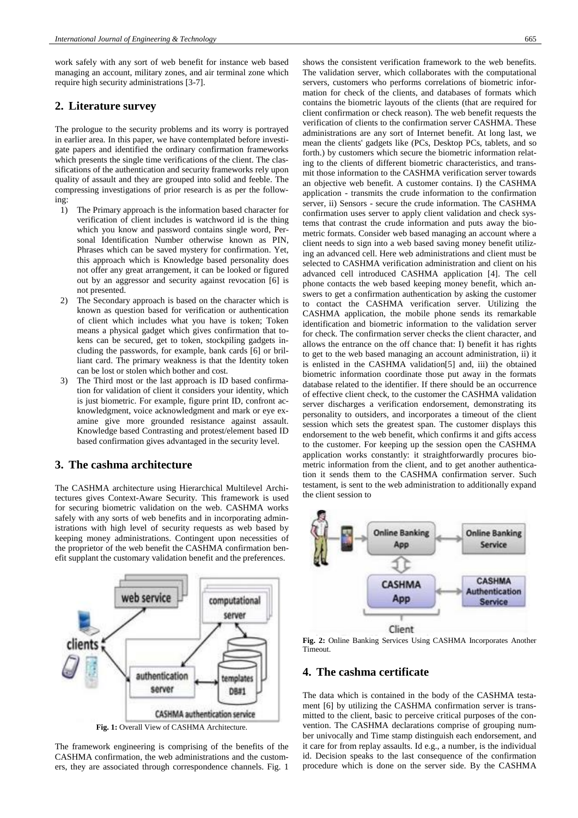work safely with any sort of web benefit for instance web based managing an account, military zones, and air terminal zone which require high security administrations [3-7].

## **2. Literature survey**

The prologue to the security problems and its worry is portrayed in earlier area. In this paper, we have contemplated before investigate papers and identified the ordinary confirmation frameworks which presents the single time verifications of the client. The classifications of the authentication and security frameworks rely upon quality of assault and they are grouped into solid and feeble. The compressing investigations of prior research is as per the following:

- 1) The Primary approach is the information based character for verification of client includes is watchword id is the thing which you know and password contains single word, Personal Identification Number otherwise known as PIN, Phrases which can be saved mystery for confirmation. Yet, this approach which is Knowledge based personality does not offer any great arrangement, it can be looked or figured out by an aggressor and security against revocation [6] is not presented.
- 2) The Secondary approach is based on the character which is known as question based for verification or authentication of client which includes what you have is token; Token means a physical gadget which gives confirmation that tokens can be secured, get to token, stockpiling gadgets including the passwords, for example, bank cards [6] or brilliant card. The primary weakness is that the Identity token can be lost or stolen which bother and cost.
- 3) The Third most or the last approach is ID based confirmation for validation of client it considers your identity, which is just biometric. For example, figure print ID, confront acknowledgment, voice acknowledgment and mark or eye examine give more grounded resistance against assault. Knowledge based Contrasting and protest/element based ID based confirmation gives advantaged in the security level.

## **3. The cashma architecture**

The CASHMA architecture using Hierarchical Multilevel Architectures gives Context-Aware Security. This framework is used for securing biometric validation on the web. CASHMA works safely with any sorts of web benefits and in incorporating administrations with high level of security requests as web based by keeping money administrations. Contingent upon necessities of the proprietor of the web benefit the CASHMA confirmation benefit supplant the customary validation benefit and the preferences.



**Fig. 1:** Overall View of CASHMA Architecture.

The framework engineering is comprising of the benefits of the CASHMA confirmation, the web administrations and the customers, they are associated through correspondence channels. Fig. 1 shows the consistent verification framework to the web benefits. The validation server, which collaborates with the computational servers, customers who performs correlations of biometric information for check of the clients, and databases of formats which contains the biometric layouts of the clients (that are required for client confirmation or check reason). The web benefit requests the verification of clients to the confirmation server CASHMA. These administrations are any sort of Internet benefit. At long last, we mean the clients' gadgets like (PCs, Desktop PCs, tablets, and so forth.) by customers which secure the biometric information relating to the clients of different biometric characteristics, and transmit those information to the CASHMA verification server towards an objective web benefit. A customer contains. I) the CASHMA application - transmits the crude information to the confirmation server, ii) Sensors - secure the crude information. The CASHMA confirmation uses server to apply client validation and check systems that contrast the crude information and puts away the biometric formats. Consider web based managing an account where a client needs to sign into a web based saving money benefit utilizing an advanced cell. Here web administrations and client must be selected to CASHMA verification administration and client on his advanced cell introduced CASHMA application [4]. The cell phone contacts the web based keeping money benefit, which answers to get a confirmation authentication by asking the customer to contact the CASHMA verification server. Utilizing the CASHMA application, the mobile phone sends its remarkable identification and biometric information to the validation server for check. The confirmation server checks the client character, and allows the entrance on the off chance that: I) benefit it has rights to get to the web based managing an account administration, ii) it is enlisted in the CASHMA validation[5] and, iii) the obtained biometric information coordinate those put away in the formats database related to the identifier. If there should be an occurrence of effective client check, to the customer the CASHMA validation server discharges a verification endorsement, demonstrating its personality to outsiders, and incorporates a timeout of the client session which sets the greatest span. The customer displays this endorsement to the web benefit, which confirms it and gifts access to the customer. For keeping up the session open the CASHMA application works constantly: it straightforwardly procures biometric information from the client, and to get another authentication it sends them to the CASHMA confirmation server. Such testament, is sent to the web administration to additionally expand the client session to



**Fig. 2:** Online Banking Services Using CASHMA Incorporates Another Timeout.

### **4. The cashma certificate**

The data which is contained in the body of the CASHMA testament [6] by utilizing the CASHMA confirmation server is transmitted to the client, basic to perceive critical purposes of the convention. The CASHMA declarations comprise of grouping number univocally and Time stamp distinguish each endorsement, and it care for from replay assaults. Id e.g., a number, is the individual id. Decision speaks to the last consequence of the confirmation procedure which is done on the server side. By the CASHMA